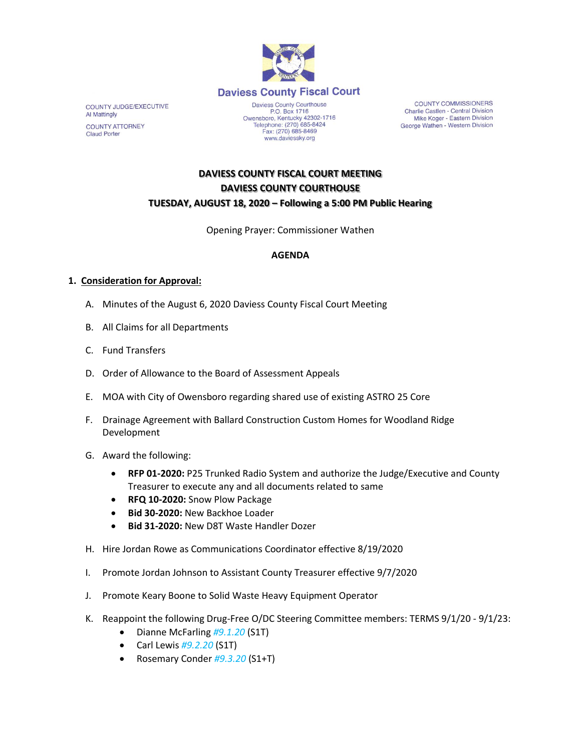

www.daviessky.org

**COUNTY COMMISSIONERS** Charlie Castlen - Central Division Mike Koger - Eastern Division George Wathen - Western Division

**COUNTY JUDGE/EXECUTIVE Al Mattingly COUNTY ATTORNEY Claud Porter** 

# **DAVIESS COUNTY FISCAL COURT MEETING DAVIESS COUNTY COURTHOUSE TUESDAY, AUGUST 18, 2020 – Following a 5:00 PM Public Hearing**

Opening Prayer: Commissioner Wathen

### **AGENDA**

#### **1. Consideration for Approval:**

- A. Minutes of the August 6, 2020 Daviess County Fiscal Court Meeting
- B. All Claims for all Departments
- C. Fund Transfers
- D. Order of Allowance to the Board of Assessment Appeals
- E. MOA with City of Owensboro regarding shared use of existing ASTRO 25 Core
- F. Drainage Agreement with Ballard Construction Custom Homes for Woodland Ridge Development
- G. Award the following:
	- **RFP 01-2020:** P25 Trunked Radio System and authorize the Judge/Executive and County Treasurer to execute any and all documents related to same
	- **RFQ 10-2020:** Snow Plow Package
	- **Bid 30-2020:** New Backhoe Loader
	- **Bid 31-2020:** New D8T Waste Handler Dozer
- H. Hire Jordan Rowe as Communications Coordinator effective 8/19/2020
- I. Promote Jordan Johnson to Assistant County Treasurer effective 9/7/2020
- J. Promote Keary Boone to Solid Waste Heavy Equipment Operator
- K. Reappoint the following Drug-Free O/DC Steering Committee members: TERMS 9/1/20 9/1/23:
	- Dianne McFarling *#9.1.20* (S1T)
	- Carl Lewis *#9.2.20* (S1T)
	- Rosemary Conder *#9.3.20* (S1+T)